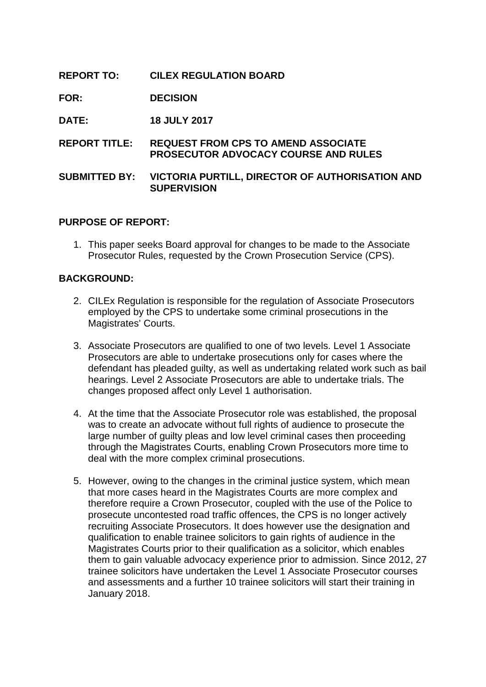# **REPORT TO: CILEX REGULATION BOARD**

**FOR: DECISION**

**DATE: 18 JULY 2017**

**REPORT TITLE: REQUEST FROM CPS TO AMEND ASSOCIATE PROSECUTOR ADVOCACY COURSE AND RULES**

## **SUBMITTED BY: VICTORIA PURTILL, DIRECTOR OF AUTHORISATION AND SUPERVISION**

## **PURPOSE OF REPORT:**

1. This paper seeks Board approval for changes to be made to the Associate Prosecutor Rules, requested by the Crown Prosecution Service (CPS).

#### **BACKGROUND:**

- 2. CILEx Regulation is responsible for the regulation of Associate Prosecutors employed by the CPS to undertake some criminal prosecutions in the Magistrates' Courts.
- 3. Associate Prosecutors are qualified to one of two levels. Level 1 Associate Prosecutors are able to undertake prosecutions only for cases where the defendant has pleaded guilty, as well as undertaking related work such as bail hearings. Level 2 Associate Prosecutors are able to undertake trials. The changes proposed affect only Level 1 authorisation.
- 4. At the time that the Associate Prosecutor role was established, the proposal was to create an advocate without full rights of audience to prosecute the large number of guilty pleas and low level criminal cases then proceeding through the Magistrates Courts, enabling Crown Prosecutors more time to deal with the more complex criminal prosecutions.
- 5. However, owing to the changes in the criminal justice system, which mean that more cases heard in the Magistrates Courts are more complex and therefore require a Crown Prosecutor, coupled with the use of the Police to prosecute uncontested road traffic offences, the CPS is no longer actively recruiting Associate Prosecutors. It does however use the designation and qualification to enable trainee solicitors to gain rights of audience in the Magistrates Courts prior to their qualification as a solicitor, which enables them to gain valuable advocacy experience prior to admission. Since 2012, 27 trainee solicitors have undertaken the Level 1 Associate Prosecutor courses and assessments and a further 10 trainee solicitors will start their training in January 2018.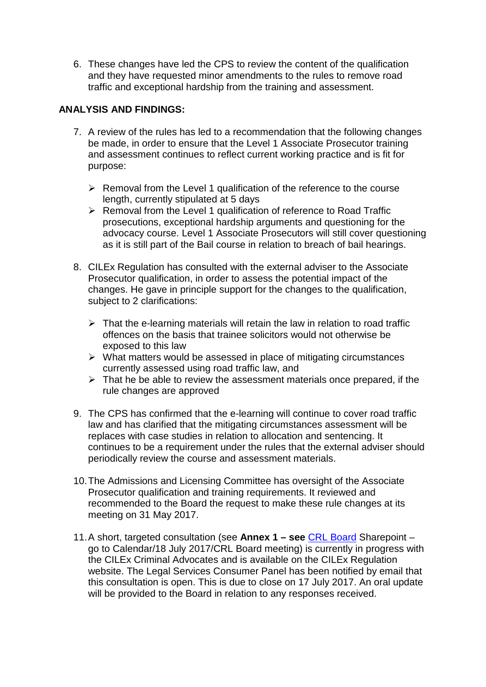6. These changes have led the CPS to review the content of the qualification and they have requested minor amendments to the rules to remove road traffic and exceptional hardship from the training and assessment.

# **ANALYSIS AND FINDINGS:**

- 7. A review of the rules has led to a recommendation that the following changes be made, in order to ensure that the Level 1 Associate Prosecutor training and assessment continues to reflect current working practice and is fit for purpose:
	- $\triangleright$  Removal from the Level 1 qualification of the reference to the course length, currently stipulated at 5 days
	- $\triangleright$  Removal from the Level 1 qualification of reference to Road Traffic prosecutions, exceptional hardship arguments and questioning for the advocacy course. Level 1 Associate Prosecutors will still cover questioning as it is still part of the Bail course in relation to breach of bail hearings.
- 8. CILEx Regulation has consulted with the external adviser to the Associate Prosecutor qualification, in order to assess the potential impact of the changes. He gave in principle support for the changes to the qualification, subject to 2 clarifications:
	- $\triangleright$  That the e-learning materials will retain the law in relation to road traffic offences on the basis that trainee solicitors would not otherwise be exposed to this law
	- $\triangleright$  What matters would be assessed in place of mitigating circumstances currently assessed using road traffic law, and
	- $\triangleright$  That he be able to review the assessment materials once prepared, if the rule changes are approved
- 9. The CPS has confirmed that the e-learning will continue to cover road traffic law and has clarified that the mitigating circumstances assessment will be replaces with case studies in relation to allocation and sentencing. It continues to be a requirement under the rules that the external adviser should periodically review the course and assessment materials.
- 10.The Admissions and Licensing Committee has oversight of the Associate Prosecutor qualification and training requirements. It reviewed and recommended to the Board the request to make these rule changes at its meeting on 31 May 2017.
- 11.A short, targeted consultation (see **Annex 1 – see** [CRL Board](https://cilexgroup.sharepoint.com/sites/CRLBoard/SitePages/Home.aspx) Sharepoint go to Calendar/18 July 2017/CRL Board meeting) is currently in progress with the CILEx Criminal Advocates and is available on the CILEx Regulation website. The Legal Services Consumer Panel has been notified by email that this consultation is open. This is due to close on 17 July 2017. An oral update will be provided to the Board in relation to any responses received.